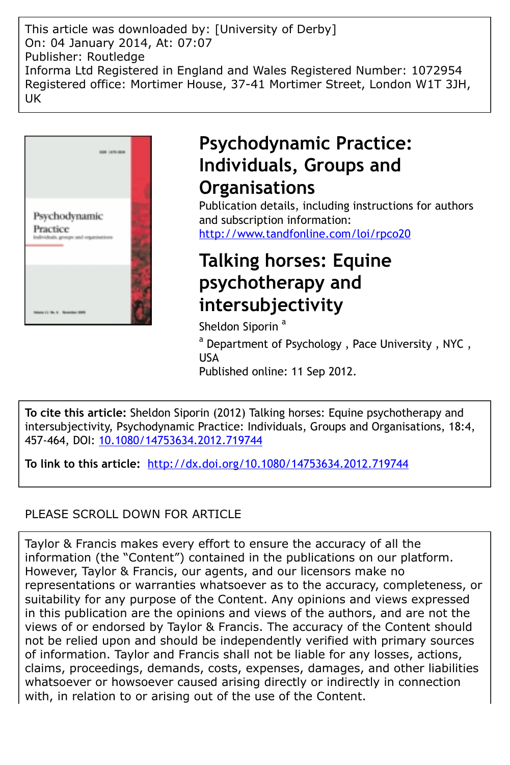This article was downloaded by: [University of Derby] On: 04 January 2014, At: 07:07 Publisher: Routledge Informa Ltd Registered in England and Wales Registered Number: 1072954 Registered office: Mortimer House, 37-41 Mortimer Street, London W1T 3JH, UK



# **Psychodynamic Practice: Individuals, Groups and Organisations**

Publication details, including instructions for authors and subscription information: <http://www.tandfonline.com/loi/rpco20>

# **Talking horses: Equine psychotherapy and intersubjectivity**

Sheldon Siporin<sup>a</sup>

<sup>a</sup> Department of Psychology, Pace University, NYC, USA Published online: 11 Sep 2012.

**To cite this article:** Sheldon Siporin (2012) Talking horses: Equine psychotherapy and intersubjectivity, Psychodynamic Practice: Individuals, Groups and Organisations, 18:4, 457-464, DOI: [10.1080/14753634.2012.719744](http://www.tandfonline.com/action/showCitFormats?doi=10.1080/14753634.2012.719744)

**To link to this article:** <http://dx.doi.org/10.1080/14753634.2012.719744>

## PLEASE SCROLL DOWN FOR ARTICLE

Taylor & Francis makes every effort to ensure the accuracy of all the information (the "Content") contained in the publications on our platform. However, Taylor & Francis, our agents, and our licensors make no representations or warranties whatsoever as to the accuracy, completeness, or suitability for any purpose of the Content. Any opinions and views expressed in this publication are the opinions and views of the authors, and are not the views of or endorsed by Taylor & Francis. The accuracy of the Content should not be relied upon and should be independently verified with primary sources of information. Taylor and Francis shall not be liable for any losses, actions, claims, proceedings, demands, costs, expenses, damages, and other liabilities whatsoever or howsoever caused arising directly or indirectly in connection with, in relation to or arising out of the use of the Content.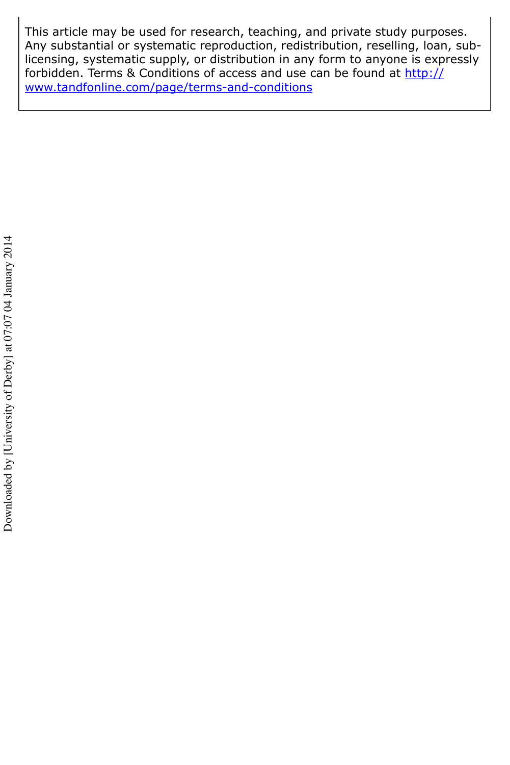This article may be used for research, teaching, and private study purposes. Any substantial or systematic reproduction, redistribution, reselling, loan, sublicensing, systematic supply, or distribution in any form to anyone is expressly forbidden. Terms & Conditions of access and use can be found at [http://](http://www.tandfonline.com/page/terms-and-conditions) [www.tandfonline.com/page/terms-and-conditions](http://www.tandfonline.com/page/terms-and-conditions)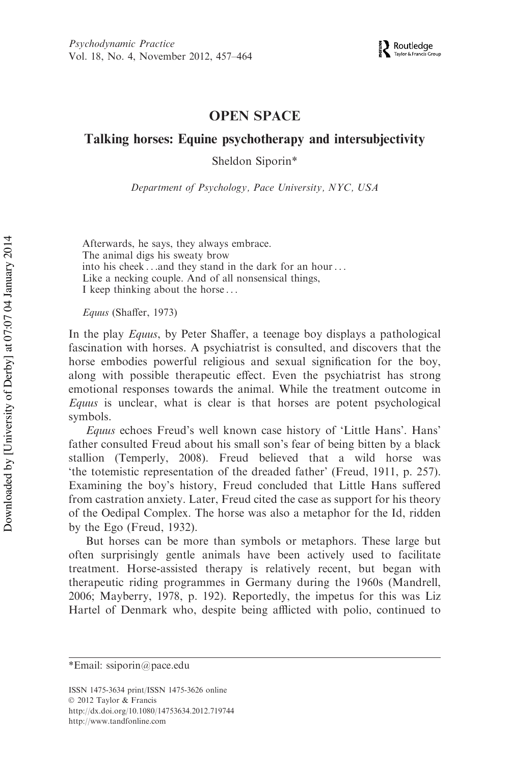### OPEN SPACE

### Talking horses: Equine psychotherapy and intersubjectivity

Sheldon Siporin\*

Department of Psychology, Pace University, NYC, USA

Afterwards, he says, they always embrace. The animal digs his sweaty brow into his cheek . . .and they stand in the dark for an hour . . . Like a necking couple. And of all nonsensical things, I keep thinking about the horse . . .

Equus (Shaffer, 1973)

In the play Equus, by Peter Shaffer, a teenage boy displays a pathological fascination with horses. A psychiatrist is consulted, and discovers that the horse embodies powerful religious and sexual signification for the boy, along with possible therapeutic effect. Even the psychiatrist has strong emotional responses towards the animal. While the treatment outcome in Equus is unclear, what is clear is that horses are potent psychological symbols.

Equus echoes Freud's well known case history of 'Little Hans'. Hans' father consulted Freud about his small son's fear of being bitten by a black stallion (Temperly, 2008). Freud believed that a wild horse was 'the totemistic representation of the dreaded father' (Freud, 1911, p. 257). Examining the boy's history, Freud concluded that Little Hans suffered from castration anxiety. Later, Freud cited the case as support for his theory of the Oedipal Complex. The horse was also a metaphor for the Id, ridden by the Ego (Freud, 1932).

But horses can be more than symbols or metaphors. These large but often surprisingly gentle animals have been actively used to facilitate treatment. Horse-assisted therapy is relatively recent, but began with therapeutic riding programmes in Germany during the 1960s (Mandrell, 2006; Mayberry, 1978, p. 192). Reportedly, the impetus for this was Liz Hartel of Denmark who, despite being afflicted with polio, continued to

<sup>\*</sup>Email: ssiporin@pace.edu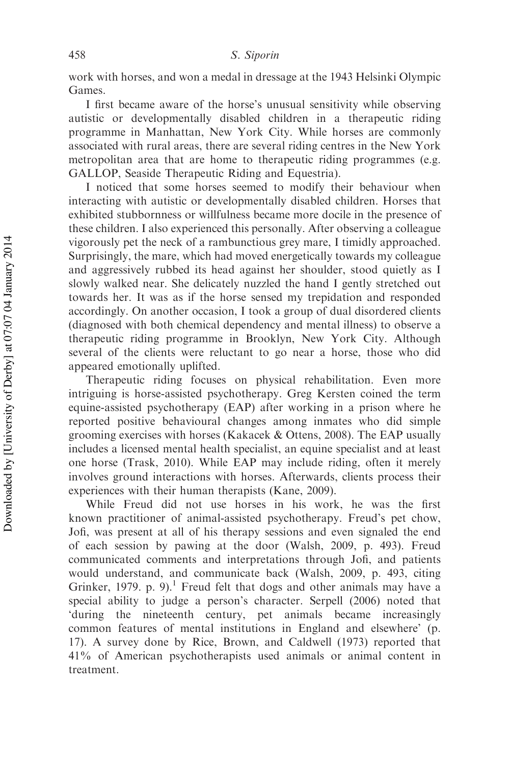work with horses, and won a medal in dressage at the 1943 Helsinki Olympic Games.

I first became aware of the horse's unusual sensitivity while observing autistic or developmentally disabled children in a therapeutic riding programme in Manhattan, New York City. While horses are commonly associated with rural areas, there are several riding centres in the New York metropolitan area that are home to therapeutic riding programmes (e.g. GALLOP, Seaside Therapeutic Riding and Equestria).

I noticed that some horses seemed to modify their behaviour when interacting with autistic or developmentally disabled children. Horses that exhibited stubbornness or willfulness became more docile in the presence of these children. I also experienced this personally. After observing a colleague vigorously pet the neck of a rambunctious grey mare, I timidly approached. Surprisingly, the mare, which had moved energetically towards my colleague and aggressively rubbed its head against her shoulder, stood quietly as I slowly walked near. She delicately nuzzled the hand I gently stretched out towards her. It was as if the horse sensed my trepidation and responded accordingly. On another occasion, I took a group of dual disordered clients (diagnosed with both chemical dependency and mental illness) to observe a therapeutic riding programme in Brooklyn, New York City. Although several of the clients were reluctant to go near a horse, those who did appeared emotionally uplifted.

Therapeutic riding focuses on physical rehabilitation. Even more intriguing is horse-assisted psychotherapy. Greg Kersten coined the term equine-assisted psychotherapy (EAP) after working in a prison where he reported positive behavioural changes among inmates who did simple grooming exercises with horses (Kakacek & Ottens, 2008). The EAP usually includes a licensed mental health specialist, an equine specialist and at least one horse (Trask, 2010). While EAP may include riding, often it merely involves ground interactions with horses. Afterwards, clients process their experiences with their human therapists (Kane, 2009).

While Freud did not use horses in his work, he was the first known practitioner of animal-assisted psychotherapy. Freud's pet chow, Jofi, was present at all of his therapy sessions and even signaled the end of each session by pawing at the door (Walsh, 2009, p. 493). Freud communicated comments and interpretations through Jofi, and patients would understand, and communicate back (Walsh, 2009, p. 493, citing Grinker, 1979. p. 9).<sup>1</sup> Freud felt that dogs and other animals may have a special ability to judge a person's character. Serpell (2006) noted that 'during the nineteenth century, pet animals became increasingly common features of mental institutions in England and elsewhere' (p. 17). A survey done by Rice, Brown, and Caldwell (1973) reported that 41% of American psychotherapists used animals or animal content in treatment.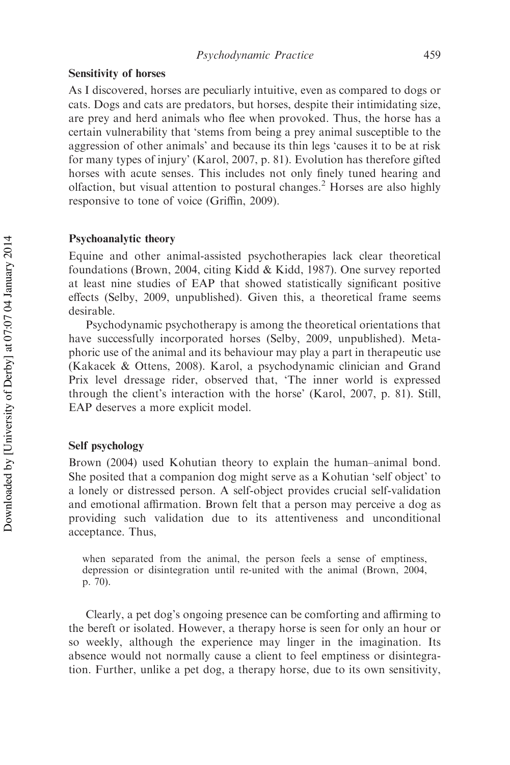#### Sensitivity of horses

As I discovered, horses are peculiarly intuitive, even as compared to dogs or cats. Dogs and cats are predators, but horses, despite their intimidating size, are prey and herd animals who flee when provoked. Thus, the horse has a certain vulnerability that 'stems from being a prey animal susceptible to the aggression of other animals' and because its thin legs 'causes it to be at risk for many types of injury' (Karol, 2007, p. 81). Evolution has therefore gifted horses with acute senses. This includes not only finely tuned hearing and olfaction, but visual attention to postural changes.<sup>2</sup> Horses are also highly responsive to tone of voice (Griffin, 2009).

#### Psychoanalytic theory

Equine and other animal-assisted psychotherapies lack clear theoretical foundations (Brown, 2004, citing Kidd & Kidd, 1987). One survey reported at least nine studies of EAP that showed statistically significant positive effects (Selby, 2009, unpublished). Given this, a theoretical frame seems desirable.

Psychodynamic psychotherapy is among the theoretical orientations that have successfully incorporated horses (Selby, 2009, unpublished). Metaphoric use of the animal and its behaviour may play a part in therapeutic use (Kakacek & Ottens, 2008). Karol, a psychodynamic clinician and Grand Prix level dressage rider, observed that, 'The inner world is expressed through the client's interaction with the horse' (Karol, 2007, p. 81). Still, EAP deserves a more explicit model.

#### Self psychology

Brown (2004) used Kohutian theory to explain the human–animal bond. She posited that a companion dog might serve as a Kohutian 'self object' to a lonely or distressed person. A self-object provides crucial self-validation and emotional affirmation. Brown felt that a person may perceive a dog as providing such validation due to its attentiveness and unconditional acceptance. Thus,

when separated from the animal, the person feels a sense of emptiness, depression or disintegration until re-united with the animal (Brown, 2004, p. 70).

Clearly, a pet dog's ongoing presence can be comforting and affirming to the bereft or isolated. However, a therapy horse is seen for only an hour or so weekly, although the experience may linger in the imagination. Its absence would not normally cause a client to feel emptiness or disintegration. Further, unlike a pet dog, a therapy horse, due to its own sensitivity,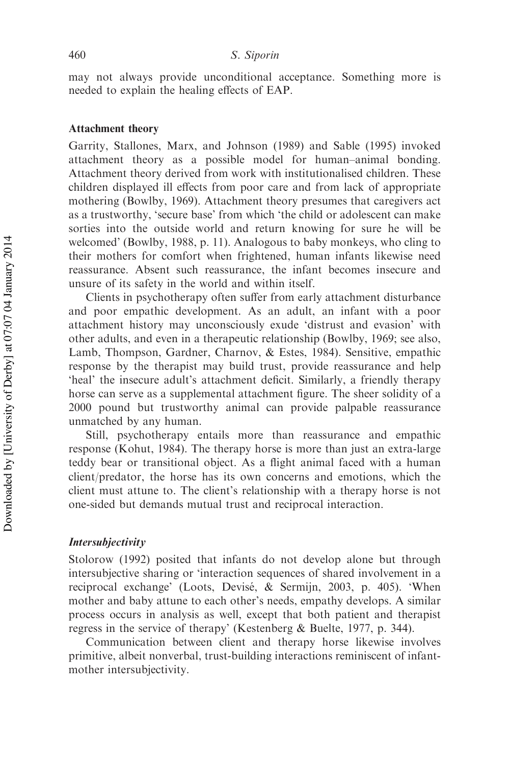may not always provide unconditional acceptance. Something more is needed to explain the healing effects of EAP.

#### Attachment theory

Garrity, Stallones, Marx, and Johnson (1989) and Sable (1995) invoked attachment theory as a possible model for human–animal bonding. Attachment theory derived from work with institutionalised children. These children displayed ill effects from poor care and from lack of appropriate mothering (Bowlby, 1969). Attachment theory presumes that caregivers act as a trustworthy, 'secure base' from which 'the child or adolescent can make sorties into the outside world and return knowing for sure he will be welcomed' (Bowlby, 1988, p. 11). Analogous to baby monkeys, who cling to their mothers for comfort when frightened, human infants likewise need reassurance. Absent such reassurance, the infant becomes insecure and unsure of its safety in the world and within itself.

Clients in psychotherapy often suffer from early attachment disturbance and poor empathic development. As an adult, an infant with a poor attachment history may unconsciously exude 'distrust and evasion' with other adults, and even in a therapeutic relationship (Bowlby, 1969; see also, Lamb, Thompson, Gardner, Charnov, & Estes, 1984). Sensitive, empathic response by the therapist may build trust, provide reassurance and help 'heal' the insecure adult's attachment deficit. Similarly, a friendly therapy horse can serve as a supplemental attachment figure. The sheer solidity of a 2000 pound but trustworthy animal can provide palpable reassurance unmatched by any human.

Still, psychotherapy entails more than reassurance and empathic response (Kohut, 1984). The therapy horse is more than just an extra-large teddy bear or transitional object. As a flight animal faced with a human client/predator, the horse has its own concerns and emotions, which the client must attune to. The client's relationship with a therapy horse is not one-sided but demands mutual trust and reciprocal interaction.

#### Intersubjectivity

Stolorow (1992) posited that infants do not develop alone but through intersubjective sharing or 'interaction sequences of shared involvement in a reciprocal exchange' (Loots, Devisé, & Sermijn, 2003, p. 405). 'When mother and baby attune to each other's needs, empathy develops. A similar process occurs in analysis as well, except that both patient and therapist regress in the service of therapy' (Kestenberg & Buelte, 1977, p. 344).

Communication between client and therapy horse likewise involves primitive, albeit nonverbal, trust-building interactions reminiscent of infantmother intersubjectivity.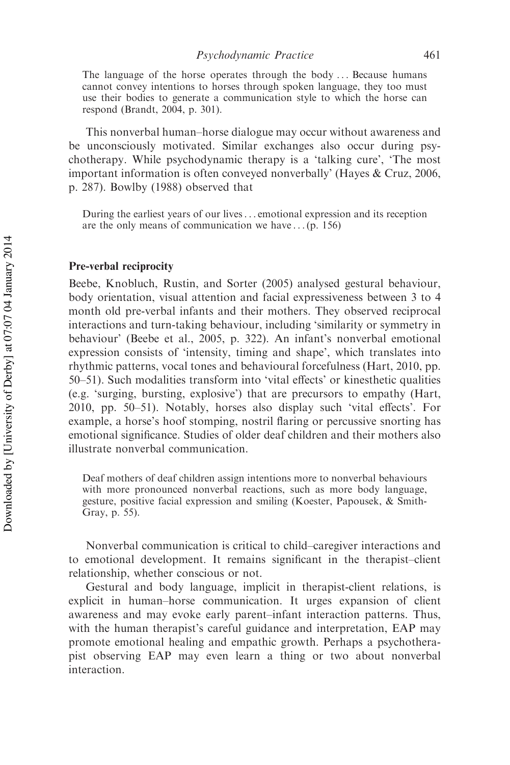The language of the horse operates through the body ... Because humans cannot convey intentions to horses through spoken language, they too must use their bodies to generate a communication style to which the horse can respond (Brandt, 2004, p. 301).

This nonverbal human–horse dialogue may occur without awareness and be unconsciously motivated. Similar exchanges also occur during psychotherapy. While psychodynamic therapy is a 'talking cure', 'The most important information is often conveyed nonverbally' (Hayes & Cruz, 2006, p. 287). Bowlby (1988) observed that

During the earliest years of our lives. . . emotional expression and its reception are the only means of communication we have . . . (p. 156)

#### Pre-verbal reciprocity

Beebe, Knobluch, Rustin, and Sorter (2005) analysed gestural behaviour, body orientation, visual attention and facial expressiveness between 3 to 4 month old pre-verbal infants and their mothers. They observed reciprocal interactions and turn-taking behaviour, including 'similarity or symmetry in behaviour' (Beebe et al., 2005, p. 322). An infant's nonverbal emotional expression consists of 'intensity, timing and shape', which translates into rhythmic patterns, vocal tones and behavioural forcefulness (Hart, 2010, pp. 50–51). Such modalities transform into 'vital effects' or kinesthetic qualities (e.g. 'surging, bursting, explosive') that are precursors to empathy (Hart, 2010, pp. 50–51). Notably, horses also display such 'vital effects'. For example, a horse's hoof stomping, nostril flaring or percussive snorting has emotional significance. Studies of older deaf children and their mothers also illustrate nonverbal communication.

Deaf mothers of deaf children assign intentions more to nonverbal behaviours with more pronounced nonverbal reactions, such as more body language, gesture, positive facial expression and smiling (Koester, Papousek, & Smith-Gray, p. 55).

Nonverbal communication is critical to child–caregiver interactions and to emotional development. It remains significant in the therapist–client relationship, whether conscious or not.

Gestural and body language, implicit in therapist-client relations, is explicit in human–horse communication. It urges expansion of client awareness and may evoke early parent–infant interaction patterns. Thus, with the human therapist's careful guidance and interpretation, EAP may promote emotional healing and empathic growth. Perhaps a psychotherapist observing EAP may even learn a thing or two about nonverbal interaction.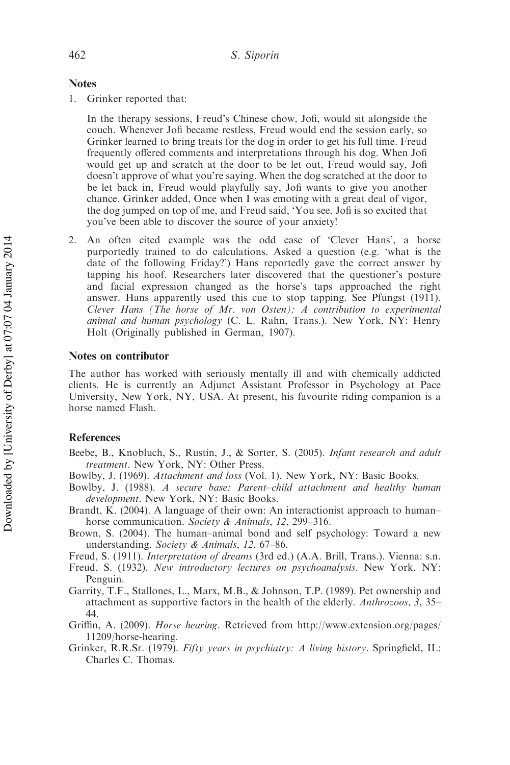#### **Notes**

1. Grinker reported that:

In the therapy sessions, Freud's Chinese chow, Jofi, would sit alongside the couch. Whenever Jofi became restless, Freud would end the session early, so Grinker learned to bring treats for the dog in order to get his full time. Freud frequently offered comments and interpretations through his dog. When Jofi would get up and scratch at the door to be let out, Freud would say, Jofi doesn't approve of what you're saying. When the dog scratched at the door to be let back in, Freud would playfully say, Jofi wants to give you another chance. Grinker added, Once when I was emoting with a great deal of vigor, the dog jumped on top of me, and Freud said, 'You see, Jofi is so excited that you've been able to discover the source of your anxiety!

2. An often cited example was the odd case of 'Clever Hans', a horse purportedly trained to do calculations. Asked a question (e.g. 'what is the date of the following Friday?') Hans reportedly gave the correct answer by tapping his hoof. Researchers later discovered that the questioner's posture and facial expression changed as the horse's taps approached the right answer. Hans apparently used this cue to stop tapping. See Pfungst (1911). Clever Hans (The horse of Mr. von Osten): A contribution to experimental animal and human psychology (C. L. Rahn, Trans.). New York, NY: Henry Holt (Originally published in German, 1907).

#### Notes on contributor

The author has worked with seriously mentally ill and with chemically addicted clients. He is currently an Adjunct Assistant Professor in Psychology at Pace University, New York, NY, USA. At present, his favourite riding companion is a horse named Flash.

#### References

- Beebe, B., Knobluch, S., Rustin, J., & Sorter, S. (2005). Infant research and adult treatment. New York, NY: Other Press.
- Bowlby, J. (1969). Attachment and loss (Vol. 1). New York, NY: Basic Books.
- Bowlby, J. (1988). A secure base: Parent–child attachment and healthy human development. New York, NY: Basic Books.
- Brandt, K. (2004). A language of their own: An interactionist approach to human– horse communication. Society & Animals, 12, 299-316.
- Brown, S. (2004). The human–animal bond and self psychology: Toward a new understanding. Society & Animals, 12, 67–86.
- Freud, S. (1911). Interpretation of dreams (3rd ed.) (A.A. Brill, Trans.). Vienna: s.n.
- Freud, S. (1932). New introductory lectures on psychoanalysis. New York, NY: Penguin.
- Garrity, T.F., Stallones, L., Marx, M.B., & Johnson, T.P. (1989). Pet ownership and attachment as supportive factors in the health of the elderly. Anthrozoos, 3, 35– 44.
- Griffin, A. (2009). Horse hearing. Retrieved from [http://www.extension.org/pages/](http://www.extension.org/pages/11209/horse-hearing) [11209/horse-hearing](http://www.extension.org/pages/11209/horse-hearing).
- Grinker, R.R.Sr. (1979). Fifty years in psychiatry: A living history. Springfield, IL: Charles C. Thomas.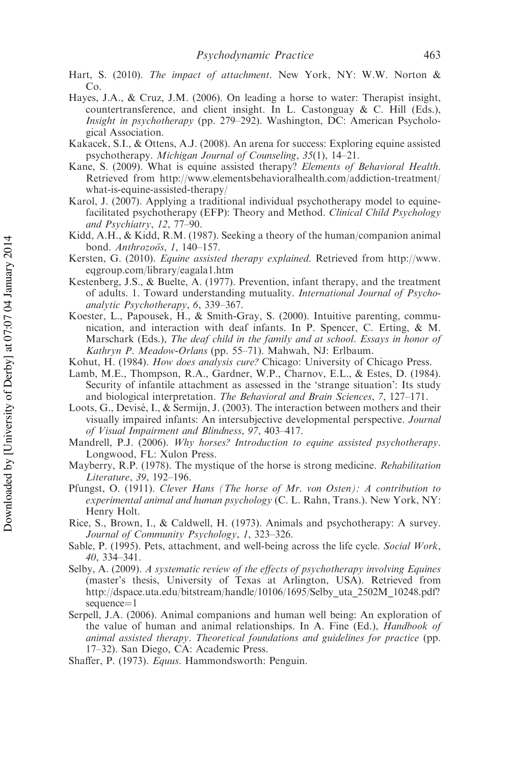- Hart, S. (2010). The impact of attachment. New York, NY: W.W. Norton & Co.
- Hayes, J.A., & Cruz, J.M. (2006). On leading a horse to water: Therapist insight, countertransference, and client insight. In L. Castonguay & C. Hill (Eds.), Insight in psychotherapy (pp. 279–292). Washington, DC: American Psychological Association.
- Kakacek, S.I., & Ottens, A.J. (2008). An arena for success: Exploring equine assisted psychotherapy. Michigan Journal of Counseling, 35(1), 14–21.
- Kane, S. (2009). What is equine assisted therapy? Elements of Behavioral Health. Retrieved from [http://www.elementsbehavioralhealth.com/addiction-treatment/](http://www.elementsbehavioralhealth.com/addiction-treatment/what-is-equine-assisted-therapy/) [what-is-equine-assisted-therapy/](http://www.elementsbehavioralhealth.com/addiction-treatment/what-is-equine-assisted-therapy/)
- Karol, J. (2007). Applying a traditional individual psychotherapy model to equinefacilitated psychotherapy (EFP): Theory and Method. Clinical Child Psychology and Psychiatry, 12, 77–90.
- Kidd, A.H., & Kidd, R.M. (1987). Seeking a theory of the human/companion animal bond. Anthrozoös, 1, 140-157.
- Kersten, G. (2010). Equine assisted therapy explained. Retrieved from [http://www.](http://www.eqgroup.com/library/eagala1.htm) [eqgroup.com/library/eagala1.htm](http://www.eqgroup.com/library/eagala1.htm)
- Kestenberg, J.S., & Buelte, A. (1977). Prevention, infant therapy, and the treatment of adults. 1. Toward understanding mutuality. International Journal of Psychoanalytic Psychotherapy, 6, 339–367.
- Koester, L., Papousek, H., & Smith-Gray, S. (2000). Intuitive parenting, communication, and interaction with deaf infants. In P. Spencer, C. Erting, & M. Marschark (Eds.), The deaf child in the family and at school. Essays in honor of Kathryn P. Meadow-Orlans (pp. 55–71). Mahwah, NJ: Erlbaum.
- Kohut, H. (1984). How does analysis cure? Chicago: University of Chicago Press.
- Lamb, M.E., Thompson, R.A., Gardner, W.P., Charnov, E.L., & Estes, D. (1984). Security of infantile attachment as assessed in the 'strange situation': Its study and biological interpretation. The Behavioral and Brain Sciences, 7, 127–171.
- Loots, G., Devisé, I., & Sermijn, J. (2003). The interaction between mothers and their visually impaired infants: An intersubjective developmental perspective. Journal of Visual Impairment and Blindness, 97, 403–417.
- Mandrell, P.J. (2006). Why horses? Introduction to equine assisted psychotherapy. Longwood, FL: Xulon Press.
- Mayberry, R.P. (1978). The mystique of the horse is strong medicine. Rehabilitation Literature, 39, 192–196.
- Pfungst, O. (1911). Clever Hans (The horse of Mr. von Osten): A contribution to experimental animal and human psychology (C. L. Rahn, Trans.). New York, NY: Henry Holt.
- Rice, S., Brown, I., & Caldwell, H. (1973). Animals and psychotherapy: A survey. Journal of Community Psychology, 1, 323–326.
- Sable, P. (1995). Pets, attachment, and well-being across the life cycle. Social Work, 40, 334–341.
- Selby, A. (2009). A systematic review of the effects of psychotherapy involving Equines (master's thesis, University of Texas at Arlington, USA). Retrieved from http://dspace.uta.edu/bitstream/handle/10106/1695/Selby\_uta\_2502M\_10248.pdf?  $sequence = 1$
- Serpell, J.A. (2006). Animal companions and human well being: An exploration of the value of human and animal relationships. In A. Fine (Ed.), Handbook of animal assisted therapy. Theoretical foundations and guidelines for practice (pp. 17–32). San Diego, CA: Academic Press.
- Shaffer, P. (1973). Equus. Hammondsworth: Penguin.